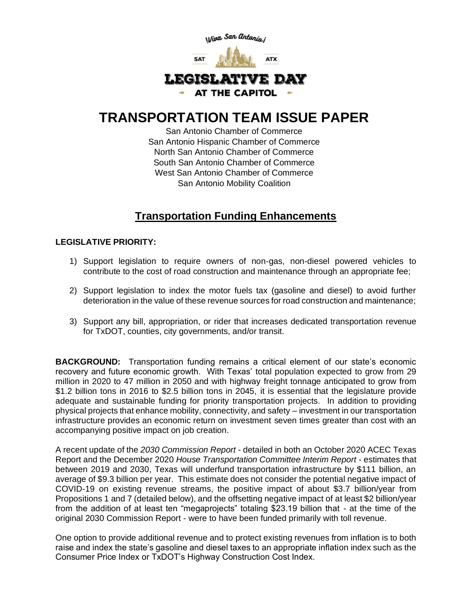

## **TRANSPORTATION TEAM ISSUE PAPER**

San Antonio Chamber of Commerce San Antonio Hispanic Chamber of Commerce North San Antonio Chamber of Commerce South San Antonio Chamber of Commerce West San Antonio Chamber of Commerce San Antonio Mobility Coalition

## **Transportation Funding Enhancements**

## **LEGISLATIVE PRIORITY:**

- 1) Support legislation to require owners of non-gas, non-diesel powered vehicles to contribute to the cost of road construction and maintenance through an appropriate fee;
- 2) Support legislation to index the motor fuels tax (gasoline and diesel) to avoid further deterioration in the value of these revenue sources for road construction and maintenance;
- 3) Support any bill, appropriation, or rider that increases dedicated transportation revenue for TxDOT, counties, city governments, and/or transit.

**BACKGROUND:** Transportation funding remains a critical element of our state's economic recovery and future economic growth. With Texas' total population expected to grow from 29 million in 2020 to 47 million in 2050 and with highway freight tonnage anticipated to grow from \$1.2 billion tons in 2016 to \$2.5 billion tons in 2045, it is essential that the legislature provide adequate and sustainable funding for priority transportation projects. In addition to providing physical projects that enhance mobility, connectivity, and safety – investment in our transportation infrastructure provides an economic return on investment seven times greater than cost with an accompanying positive impact on job creation.

A recent update of the *2030 Commission Report* - detailed in both an October 2020 ACEC Texas Report and the December 2020 *House Transportation Committee Interim Report* - estimates that between 2019 and 2030, Texas will underfund transportation infrastructure by \$111 billion, an average of \$9.3 billion per year. This estimate does not consider the potential negative impact of COVID-19 on existing revenue streams, the positive impact of about \$3.7 billion/year from Propositions 1 and 7 (detailed below), and the offsetting negative impact of at least \$2 billion/year from the addition of at least ten "megaprojects" totaling \$23.19 billion that - at the time of the original 2030 Commission Report - were to have been funded primarily with toll revenue.

One option to provide additional revenue and to protect existing revenues from inflation is to both raise and index the state's gasoline and diesel taxes to an appropriate inflation index such as the Consumer Price Index or TxDOT's Highway Construction Cost Index.